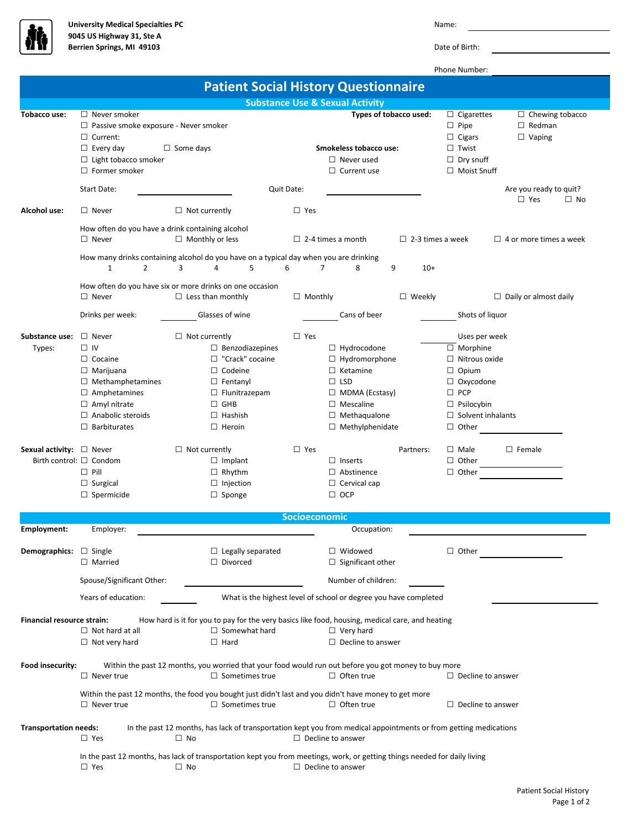

Phone Number:

| <b>Patient Social History Questionnaire</b>                                                                                                                                                                                                                                   |                                                                                                                                                                                             |                                                                                                                                                                                        |                                                                                             |                                                                                                                                                                           |                         |                                                                                                                                                                                           |                                                          |  |  |
|-------------------------------------------------------------------------------------------------------------------------------------------------------------------------------------------------------------------------------------------------------------------------------|---------------------------------------------------------------------------------------------------------------------------------------------------------------------------------------------|----------------------------------------------------------------------------------------------------------------------------------------------------------------------------------------|---------------------------------------------------------------------------------------------|---------------------------------------------------------------------------------------------------------------------------------------------------------------------------|-------------------------|-------------------------------------------------------------------------------------------------------------------------------------------------------------------------------------------|----------------------------------------------------------|--|--|
|                                                                                                                                                                                                                                                                               | <b>Substance Use &amp; Sexual Activity</b>                                                                                                                                                  |                                                                                                                                                                                        |                                                                                             |                                                                                                                                                                           |                         |                                                                                                                                                                                           |                                                          |  |  |
| Tobacco use:                                                                                                                                                                                                                                                                  | $\Box$ Never smoker<br>$\Box$ Passive smoke exposure - Never smoker<br>$\Box$ Current:<br>$\Box$ Every day<br>$\Box$ Some days<br>$\Box$ Light tobacco smoker<br>$\Box$ Former smoker       |                                                                                                                                                                                        | Types of tobacco used:<br>Smokeless tobacco use:<br>$\Box$ Never used<br>$\Box$ Current use |                                                                                                                                                                           |                         | $\Box$ Cigarettes<br>$\Box$ Pipe<br>$\Box$ Cigars<br>$\Box$ Twist<br>$\Box$ Dry snuff<br>$\Box$ Moist Snuff                                                                               | $\Box$ Chewing tobacco<br>$\Box$ Redman<br>$\Box$ Vaping |  |  |
|                                                                                                                                                                                                                                                                               | <b>Start Date:</b>                                                                                                                                                                          |                                                                                                                                                                                        | Quit Date:                                                                                  |                                                                                                                                                                           |                         |                                                                                                                                                                                           | Are you ready to quit?<br>$\Box$ Yes<br>$\Box$ No        |  |  |
| Alcohol use:                                                                                                                                                                                                                                                                  | $\Box$ Never                                                                                                                                                                                | $\Box$ Not currently                                                                                                                                                                   | $\Box$ Yes                                                                                  |                                                                                                                                                                           |                         |                                                                                                                                                                                           |                                                          |  |  |
|                                                                                                                                                                                                                                                                               | How often do you have a drink containing alcohol<br>$\Box$ Never                                                                                                                            | $\Box$ Monthly or less                                                                                                                                                                 |                                                                                             | $\Box$ 2-4 times a month                                                                                                                                                  | $\Box$ 2-3 times a week |                                                                                                                                                                                           | $\Box$ 4 or more times a week                            |  |  |
|                                                                                                                                                                                                                                                                               | $\overline{2}$<br>$\mathbf{1}$                                                                                                                                                              | How many drinks containing alcohol do you have on a typical day when you are drinking<br>3<br>5<br>4                                                                                   | 6                                                                                           | 8<br>7                                                                                                                                                                    | 9<br>$10+$              |                                                                                                                                                                                           |                                                          |  |  |
|                                                                                                                                                                                                                                                                               | $\Box$ Never                                                                                                                                                                                | How often do you have six or more drinks on one occasion<br>$\Box$ Less than monthly                                                                                                   | $\Box$ Monthly                                                                              |                                                                                                                                                                           | $\Box$ Weekly           |                                                                                                                                                                                           | $\Box$ Daily or almost daily                             |  |  |
|                                                                                                                                                                                                                                                                               | Drinks per week:                                                                                                                                                                            | Glasses of wine                                                                                                                                                                        |                                                                                             | Cans of beer                                                                                                                                                              |                         | Shots of liquor                                                                                                                                                                           |                                                          |  |  |
| Substance use:<br>Types:                                                                                                                                                                                                                                                      | $\Box$ Never<br>$\Box$ IV<br>$\Box$ Cocaine<br>$\Box$ Marijuana<br>$\Box$ Methamphetamines<br>$\Box$ Amphetamines<br>$\Box$ Amyl nitrate<br>$\Box$ Anabolic steroids<br>$\Box$ Barbiturates | $\Box$ Not currently<br>$\Box$ Benzodiazepines<br>$\Box$ "Crack" cocaine<br>$\Box$ Codeine<br>$\Box$ Fentanyl<br>$\Box$ Flunitrazepam<br>$\Box$ GHB<br>$\Box$ Hashish<br>$\Box$ Heroin | $\Box$ Yes                                                                                  | $\Box$ Hydrocodone<br>$\Box$ Hydromorphone<br>$\Box$ Ketamine<br>$\Box$ LSD<br>$\Box$ MDMA (Ecstasy)<br>$\Box$ Mescaline<br>$\Box$ Methaqualone<br>$\Box$ Methylphenidate |                         | Uses per week<br>$\overline{\Box}$ Morphine<br>$\Box$ Nitrous oxide<br>$\Box$ Opium<br>$\Box$ Oxycodone<br>$\square$ PCP<br>$\Box$ Psilocybin<br>$\Box$ Solvent inhalants<br>$\Box$ Other |                                                          |  |  |
| Sexual activity: □ Never                                                                                                                                                                                                                                                      | Birth control: $\Box$ Condom<br>$\Box$ Pill<br>$\Box$ Surgical<br>$\Box$ Spermicide                                                                                                         | $\Box$ Not currently<br>$\Box$ Implant<br>$\Box$ Rhythm<br>$\Box$ Injection<br>$\Box$ Sponge                                                                                           | $\Box$ Yes                                                                                  | $\Box$ Inserts<br>$\Box$ Abstinence<br>$\Box$ Cervical cap<br>$\Box$ OCP                                                                                                  | Partners:               | $\Box$ Male<br>$\Box$ Other<br>$\Box$ Other                                                                                                                                               | $\square$ Female                                         |  |  |
| <b>Socioeconomic</b>                                                                                                                                                                                                                                                          |                                                                                                                                                                                             |                                                                                                                                                                                        |                                                                                             |                                                                                                                                                                           |                         |                                                                                                                                                                                           |                                                          |  |  |
| Employment:                                                                                                                                                                                                                                                                   | Employer:                                                                                                                                                                                   |                                                                                                                                                                                        |                                                                                             | Occupation:                                                                                                                                                               |                         |                                                                                                                                                                                           |                                                          |  |  |
| <b>Demographics:</b> $\Box$ Single                                                                                                                                                                                                                                            | $\Box$ Married                                                                                                                                                                              | $\Box$ Legally separated<br>$\Box$ Divorced                                                                                                                                            |                                                                                             | $\Box$ Widowed<br>$\Box$ Significant other                                                                                                                                |                         | $\Box$ Other                                                                                                                                                                              |                                                          |  |  |
|                                                                                                                                                                                                                                                                               | Spouse/Significant Other:                                                                                                                                                                   |                                                                                                                                                                                        |                                                                                             | Number of children:                                                                                                                                                       |                         |                                                                                                                                                                                           |                                                          |  |  |
|                                                                                                                                                                                                                                                                               | Years of education:<br>What is the highest level of school or degree you have completed                                                                                                     |                                                                                                                                                                                        |                                                                                             |                                                                                                                                                                           |                         |                                                                                                                                                                                           |                                                          |  |  |
| How hard is it for you to pay for the very basics like food, housing, medical care, and heating<br><b>Financial resource strain:</b><br>$\Box$ Not hard at all<br>$\Box$ Somewhat hard<br>$\Box$ Very hard<br>$\Box$ Not very hard<br>$\Box$ Hard<br>$\Box$ Decline to answer |                                                                                                                                                                                             |                                                                                                                                                                                        |                                                                                             |                                                                                                                                                                           |                         |                                                                                                                                                                                           |                                                          |  |  |
| Within the past 12 months, you worried that your food would run out before you got money to buy more<br>Food insecurity:<br>$\Box$ Sometimes true<br>$\Box$ Often true<br>$\Box$ Never true<br>$\Box$ Decline to answer                                                       |                                                                                                                                                                                             |                                                                                                                                                                                        |                                                                                             |                                                                                                                                                                           |                         |                                                                                                                                                                                           |                                                          |  |  |
|                                                                                                                                                                                                                                                                               | $\Box$ Never true                                                                                                                                                                           | Within the past 12 months, the food you bought just didn't last and you didn't have money to get more<br>$\Box$ Sometimes true                                                         |                                                                                             | $\Box$ Often true                                                                                                                                                         |                         | $\Box$ Decline to answer                                                                                                                                                                  |                                                          |  |  |
| <b>Transportation needs:</b>                                                                                                                                                                                                                                                  | In the past 12 months, has lack of transportation kept you from medical appointments or from getting medications<br>$\Box$ Decline to answer                                                |                                                                                                                                                                                        |                                                                                             |                                                                                                                                                                           |                         |                                                                                                                                                                                           |                                                          |  |  |
|                                                                                                                                                                                                                                                                               | $\Box$ Yes<br>$\square$ Yes                                                                                                                                                                 | $\Box$ No<br>In the past 12 months, has lack of transportation kept you from meetings, work, or getting things needed for daily living<br>$\Box$ No<br>$\Box$ Decline to answer        |                                                                                             |                                                                                                                                                                           |                         |                                                                                                                                                                                           |                                                          |  |  |
|                                                                                                                                                                                                                                                                               |                                                                                                                                                                                             |                                                                                                                                                                                        |                                                                                             |                                                                                                                                                                           |                         |                                                                                                                                                                                           |                                                          |  |  |